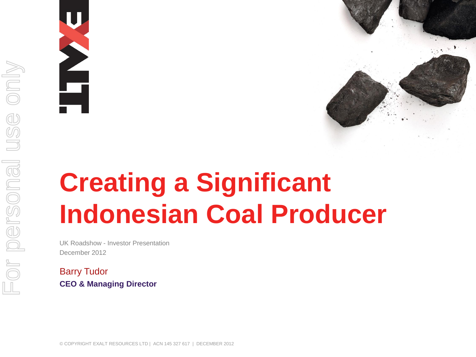



# **Creating a Significant Indonesian Coal Producer**

UK Roadshow - Investor Presentation December 2012

Barry Tudor **CEO & Managing Director**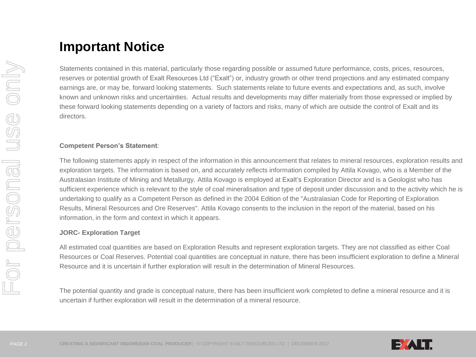## **Important Notice**

Statements contained in this material, particularly those regarding possible or assumed future performance, costs, prices, resources, reserves or potential growth of Exalt Resources Ltd ("Exalt") or, industry growth or other trend projections and any estimated company earnings are, or may be, forward looking statements. Such statements relate to future events and expectations and, as such, involve known and unknown risks and uncertainties. Actual results and developments may differ materially from those expressed or implied by these forward looking statements depending on a variety of factors and risks, many of which are outside the control of Exalt and its directors.

#### **Competent Person's Statement**:

The following statements apply in respect of the information in this announcement that relates to mineral resources, exploration results and exploration targets. The information is based on, and accurately reflects information compiled by Attila Kovago, who is a Member of the Australasian Institute of Mining and Metallurgy. Attila Kovago is employed at Exalt's Exploration Director and is a Geologist who has sufficient experience which is relevant to the style of coal mineralisation and type of deposit under discussion and to the activity which he is undertaking to qualify as a Competent Person as defined in the 2004 Edition of the "Australasian Code for Reporting of Exploration Results, Mineral Resources and Ore Reserves". Attila Kovago consents to the inclusion in the report of the material, based on his information, in the form and context in which it appears.

#### **JORC- Exploration Target**

All estimated coal quantities are based on Exploration Results and represent exploration targets. They are not classified as either Coal Resources or Coal Reserves. Potential coal quantities are conceptual in nature, there has been insufficient exploration to define a Mineral Resource and it is uncertain if further exploration will result in the determination of Mineral Resources.

The potential quantity and grade is conceptual nature, there has been insufficient work completed to define a mineral resource and it is uncertain if further exploration will result in the determination of a mineral resource.

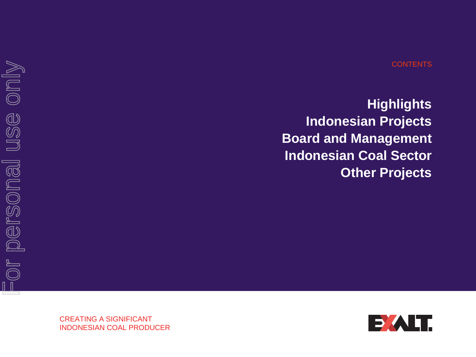#### **CONTENTS**

**Highlights Indonesian Projects Board and Management Indonesian Coal Sector Other Projects**

For personal use only For personal use only

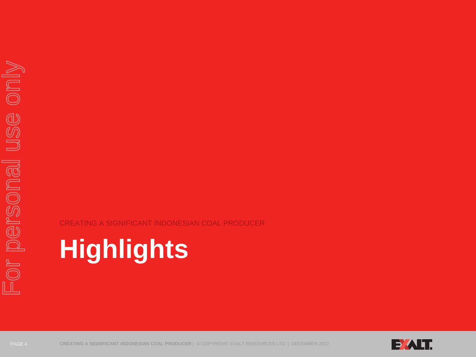CREATING A SIGNIFICANT INDONESIAN COAL PRODUCER

# **Highlights**

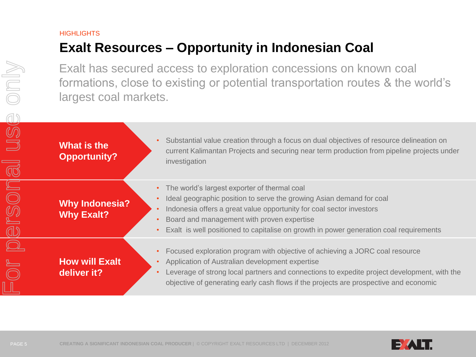## **HIGHLIGHTS Exalt Resources – Opportunity in Indonesian Coal**

|                                           | Exalt has secured access to exploration concessions on known coal<br>formations, close to existing or potential transportation routes & the world's<br>largest coal markets. |                                                                                                                                                                                                                                                                                                                                                   |  |  |  |
|-------------------------------------------|------------------------------------------------------------------------------------------------------------------------------------------------------------------------------|---------------------------------------------------------------------------------------------------------------------------------------------------------------------------------------------------------------------------------------------------------------------------------------------------------------------------------------------------|--|--|--|
| USC<br>$\overline{\overline{\mathbb{Q}}}$ | <b>What is the</b><br><b>Opportunity?</b>                                                                                                                                    | Substantial value creation through a focus on dual objectives of resource delineation on<br>current Kalimantan Projects and securing near term production from pipeline projects under<br>investigation                                                                                                                                           |  |  |  |
| $\boxed{\square}$<br>ersol                | <b>Why Indonesia?</b><br><b>Why Exalt?</b>                                                                                                                                   | The world's largest exporter of thermal coal<br>Ideal geographic position to serve the growing Asian demand for coal<br>$\bullet$<br>Indonesia offers a great value opportunity for coal sector investors<br>Board and management with proven expertise<br>Exalt is well positioned to capitalise on growth in power generation coal requirements |  |  |  |
|                                           | <b>How will Exalt</b><br>deliver it?                                                                                                                                         | Focused exploration program with objective of achieving a JORC coal resource<br>$\bullet$<br>Application of Australian development expertise<br>$\bullet$<br>Leverage of strong local partners and connections to expedite project development, with the<br>objective of generating early cash flows if the projects are prospective and economic |  |  |  |

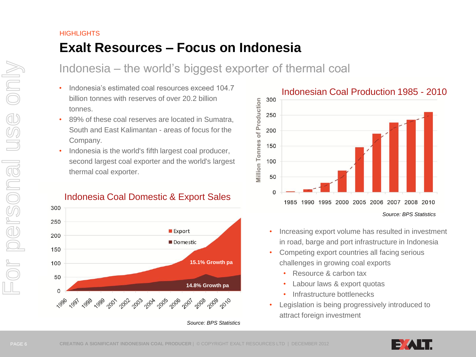## **HIGHLIGHTS Exalt Resources – Focus on Indonesia**

## Indonesia – the world's biggest exporter of thermal coal

- Indonesia's estimated coal resources exceed 104.7 billion tonnes with reserves of over 20.2 billion tonnes.
- 89% of these coal reserves are located in Sumatra, South and East Kalimantan - areas of focus for the Company.
- Indonesia is the world's fifth largest coal producer, second largest coal exporter and the world's largest thermal coal exporter.

## Indonesia Coal Domestic & Export Sales





- Increasing export volume has resulted in investment in road, barge and port infrastructure in Indonesia
- Competing export countries all facing serious challenges in growing coal exports
	- Resource & carbon tax
	- Labour laws & export quotas
	- Infrastructure bottlenecks
- Legislation is being progressively introduced to attract foreign investment

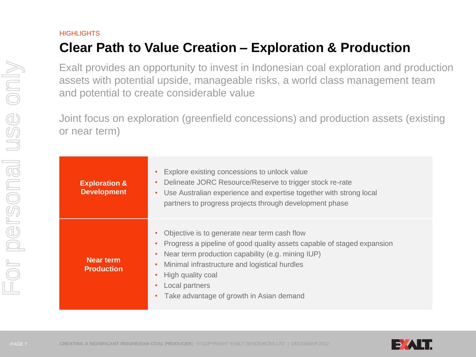# **Clear Path to Value Creation – Exploration & Production**

Exalt provides an opportunity to invest in Indonesian coal exploration and production assets with potential upside, manageable risks, a world class management team and potential to create considerable value

Joint focus on exploration (greenfield concessions) and production assets (existing or near term)

| <b>Exploration &amp;</b><br><b>Development</b> | Explore existing concessions to unlock value<br>$\bullet$<br>Delineate JORC Resource/Reserve to trigger stock re-rate<br>$\bullet$<br>Use Australian experience and expertise together with strong local<br>$\bullet$<br>partners to progress projects through development phase                                                                                    |
|------------------------------------------------|---------------------------------------------------------------------------------------------------------------------------------------------------------------------------------------------------------------------------------------------------------------------------------------------------------------------------------------------------------------------|
| Near term<br><b>Production</b>                 | Objective is to generate near term cash flow<br>$\bullet$<br>Progress a pipeline of good quality assets capable of staged expansion<br>Near term production capability (e.g. mining IUP)<br>$\bullet$<br>Minimal infrastructure and logistical hurdles<br>$\bullet$<br>High quality coal<br>$\bullet$<br>Local partners<br>Take advantage of growth in Asian demand |

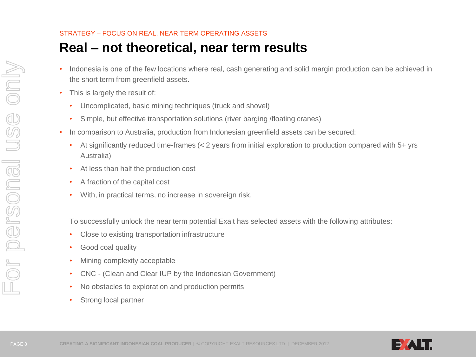### STRATEGY – FOCUS ON REAL, NEAR TERM OPERATING ASSETS

# **Real – not theoretical, near term results**

- Indonesia is one of the few locations where real, cash generating and solid margin production can be achieved in the short term from greenfield assets.
- This is largely the result of:
	- Uncomplicated, basic mining techniques (truck and shovel)
	- Simple, but effective transportation solutions (river barging /floating cranes)
- In comparison to Australia, production from Indonesian greenfield assets can be secured:
	- At significantly reduced time-frames (< 2 years from initial exploration to production compared with 5+ yrs Australia)
	- At less than half the production cost
	- A fraction of the capital cost
	- With, in practical terms, no increase in sovereign risk.

To successfully unlock the near term potential Exalt has selected assets with the following attributes:

- Close to existing transportation infrastructure
- Good coal quality
- Mining complexity acceptable
- CNC (Clean and Clear IUP by the Indonesian Government)
- No obstacles to exploration and production permits
- Strong local partner

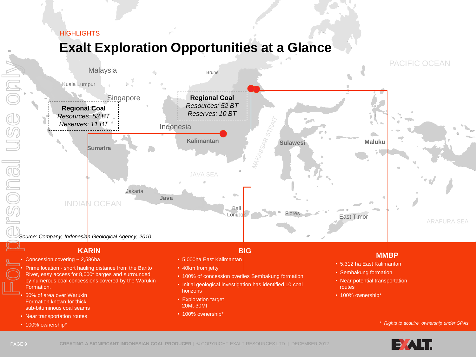# **Exalt Exploration Opportunities at a Glance**



### **KARIN**

- Concession covering ~ 2,586ha
- Prime location short hauling distance from the Barito River, easy access for 8,000t barges and surrounded by numerous coal concessions covered by the Warukin Formation.
- 50% of area over Warukin Formation known for thick sub-bituminous coal seams
- Near transportation routes
- 100% ownership\*

#### **BIG**

- 5,000ha East Kalimantan
- 40km from jetty
- 100% of concession overlies Sembakung formation
- Initial geological investigation has identified 10 coal horizons
- Exploration target 20Mt-30Mt
- 100% ownership\*

### **MMBP**

- 5,312 ha East Kalimantan
- Sembakung formation
- Near potential transportation routes
- 100% ownership\*

#### *\* Rights to acquire ownership under SPAs*

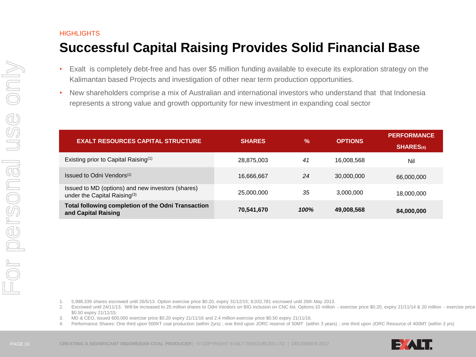# **Successful Capital Raising Provides Solid Financial Base**

- Exalt is completely debt-free and has over \$5 million funding available to execute its exploration strategy on the Kalimantan based Projects and investigation of other near term production opportunities.
- New shareholders comprise a mix of Australian and international investors who understand that that Indonesia represents a strong value and growth opportunity for new investment in expanding coal sector

| <b>EXALT RESOURCES CAPITAL STRUCTURE</b>                                             | <b>SHARES</b> | $\frac{9}{6}$ | <b>OPTIONS</b> | <b>PERFORMANCE</b><br><b>SHARES(4)</b> |
|--------------------------------------------------------------------------------------|---------------|---------------|----------------|----------------------------------------|
| Existing prior to Capital Raising <sup>(1)</sup>                                     | 28,875,003    | 41            | 16,008,568     | Nil                                    |
| Issued to Odni Vendors <sup>(2)</sup>                                                | 16,666,667    | 24            | 30,000,000     | 66,000,000                             |
| Issued to MD (options) and new investors (shares)<br>under the Capital Raising $(3)$ | 25,000,000    | 35            | 3,000,000      | 18,000,000                             |
| Total following completion of the Odni Transaction<br>and Capital Raising            | 70,541,670    | 100%          | 49,008,568     | 84,000,000                             |

1. 5,998,339 shares escrowed until 26/5/13. Option exercise price \$0.20, expiry 31/12/15; 8,032,781 escrowed until 26th May 2013.

- 2. Escrowed until 24/11/13. Will be increased to 25 million shares to Odni Vendors on BIG inclusion on CNC list. Options:10 million exercise price \$0.20, expiry 21/11/14 & 20 million exercise price \$0.50 expiry 21/11/15.
- 3. MD & CEO, issued 600,000 exercise price \$0.20 expiry 21/11/16 and 2.4 million exercise price \$0.50 expiry 21/11/16.
- 4. Performance Shares: One third upon 500KT coal production (within 2yrs) ; one third upon JORC reserve of 50MT (within 3 years) ; one third upon JORC Resource of 400MT (within 3 yrs)

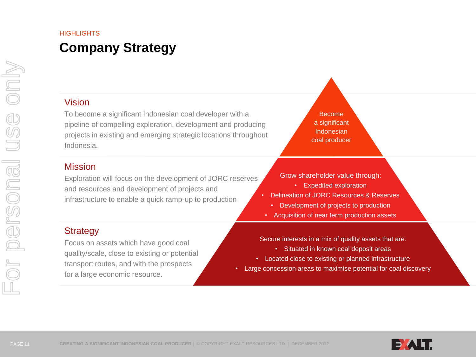# **Company Strategy**

## Vision

To become a significant Indonesian coal developer with a pipeline of compelling exploration, development and producing projects in existing and emerging strategic locations throughout Indonesia.

### Mission

Exploration will focus on the development of JORC reserves and resources and development of projects and infrastructure to enable a quick ramp-up to production

## **Strategy**

Focus on assets which have good coal quality/scale, close to existing or potential transport routes, and with the prospects for a large economic resource.

Become a significant Indonesian coal producer

Grow shareholder value through:

- Expedited exploration
- Delineation of JORC Resources & Reserves
	- Development of projects to production
- Acquisition of near term production assets

Secure interests in a mix of quality assets that are:

- Situated in known coal deposit areas
- Located close to existing or planned infrastructure
- Large concession areas to maximise potential for coal discovery

For personal use only

or personal

use only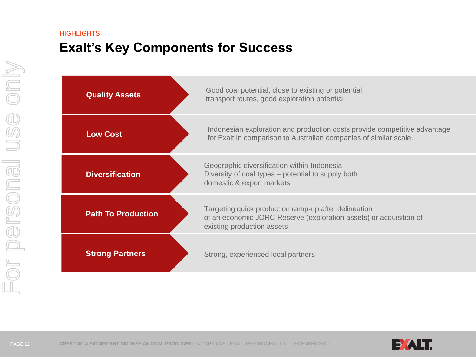## **HIGHLIGHTS Exalt's Key Components for Success**

| <b>Quality Assets</b>     | Good coal potential, close to existing or potential<br>transport routes, good exploration potential                                                      |  |  |
|---------------------------|----------------------------------------------------------------------------------------------------------------------------------------------------------|--|--|
| <b>Low Cost</b>           | Indonesian exploration and production costs provide competitive advantage<br>for Exalt in comparison to Australian companies of similar scale.           |  |  |
| <b>Diversification</b>    | Geographic diversification within Indonesia<br>Diversity of coal types – potential to supply both<br>domestic & export markets                           |  |  |
| <b>Path To Production</b> | Targeting quick production ramp-up after delineation<br>of an economic JORC Reserve (exploration assets) or acquisition of<br>existing production assets |  |  |
| <b>Strong Partners</b>    | Strong, experienced local partners                                                                                                                       |  |  |

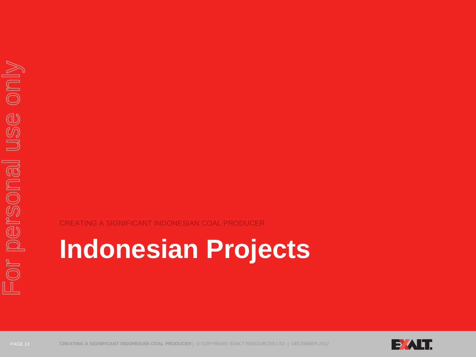CREATING A SIGNIFICANT INDONESIAN COAL PRODUCER

# **Indonesian Projects**



PAGE 13 **CREATING A SIGNIFICANT INDONESIAN COAL PRODUCER** | © COPYRIGHT EXALT RESOURCES LTD | DECEMBER 2012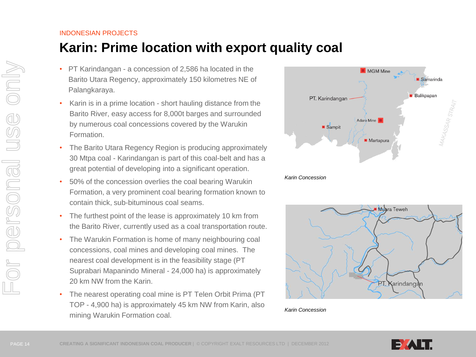# **Karin: Prime location with export quality coal**

- PT Karindangan a concession of 2,586 ha located in the Barito Utara Regency, approximately 150 kilometres NE of Palangkaraya.
- Karin is in a prime location short hauling distance from the Barito River, easy access for 8,000t barges and surrounded by numerous coal concessions covered by the Warukin Formation.
- The Barito Utara Regency Region is producing approximately 30 Mtpa coal - Karindangan is part of this coal-belt and has a great potential of developing into a significant operation.
- 50% of the concession overlies the coal bearing Warukin Formation, a very prominent coal bearing formation known to contain thick, sub-bituminous coal seams.
- The furthest point of the lease is approximately 10 km from the Barito River, currently used as a coal transportation route.
- The Warukin Formation is home of many neighbouring coal concessions, coal mines and developing coal mines. The nearest coal development is in the feasibility stage (PT Suprabari Mapanindo Mineral - 24,000 ha) is approximately 20 km NW from the Karin.
- The nearest operating coal mine is PT Telen Orbit Prima (PT TOP - 4,900 ha) is approximately 45 km NW from Karin, also mining Warukin Formation coal.





*Karin Concession*

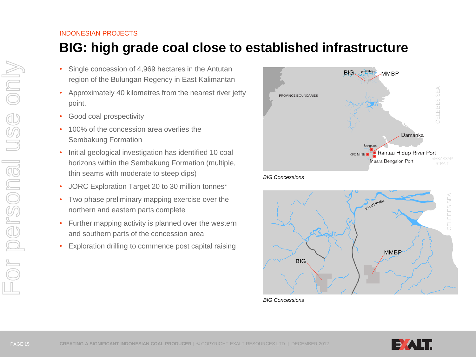# **BIG: high grade coal close to established infrastructure**

- Single concession of 4,969 hectares in the Antutan region of the Bulungan Regency in East Kalimantan
- Approximately 40 kilometres from the nearest river jetty point.
- Good coal prospectivity
- 100% of the concession area overlies the Sembakung Formation
- Initial geological investigation has identified 10 coal horizons within the Sembakung Formation (multiple, thin seams with moderate to steep dips)
- JORC Exploration Target 20 to 30 million tonnes\*
- Two phase preliminary mapping exercise over the northern and eastern parts complete
- Further mapping activity is planned over the western and southern parts of the concession area
- Exploration drilling to commence post capital raising







*BIG Concessions*

only

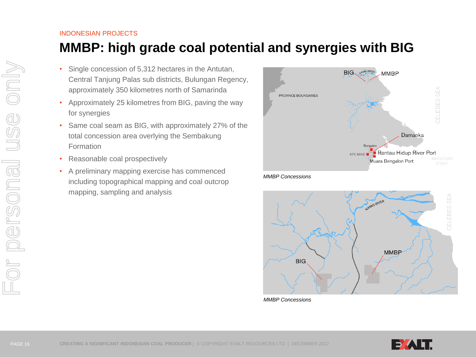# **MMBP: high grade coal potential and synergies with BIG**

- Single concession of 5,312 hectares in the Antutan, Central Tanjung Palas sub districts, Bulungan Regency, approximately 350 kilometres north of Samarinda
- Approximately 25 kilometres from BIG, paving the way for synergies
- Same coal seam as BIG, with approximately 27% of the total concession area overlying the Sembakung Formation
- Reasonable coal prospectively
- A preliminary mapping exercise has commenced including topographical mapping and coal outcrop mapping, sampling and analysis







*MMBP Concessions*

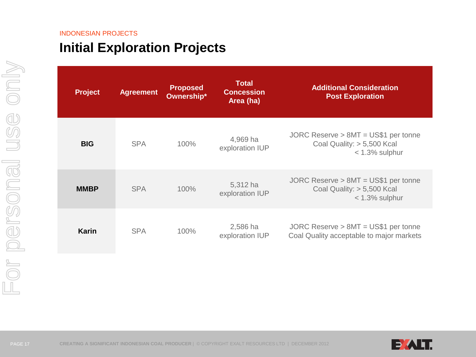# **Initial Exploration Projects**

| <b>Project</b> | <b>Agreement</b> | <b>Proposed</b><br>Ownership* | <b>Total</b><br><b>Concession</b><br>Area (ha) | <b>Additional Consideration</b><br><b>Post Exploration</b>                              |
|----------------|------------------|-------------------------------|------------------------------------------------|-----------------------------------------------------------------------------------------|
| <b>BIG</b>     | <b>SPA</b>       | 100%                          | 4,969 ha<br>exploration IUP                    | JORC Reserve $> 8MT = US$1$ per tonne<br>Coal Quality: > 5,500 Kcal<br>$<$ 1.3% sulphur |
| <b>MMBP</b>    | <b>SPA</b>       | 100%                          | 5,312 ha<br>exploration IUP                    | JORC Reserve $> 8MT = US$1 per tonne$<br>Coal Quality: > 5,500 Kcal<br>$<$ 1.3% sulphur |
| <b>Karin</b>   | <b>SPA</b>       | 100%                          | 2,586 ha<br>exploration IUP                    | JORC Reserve $> 8MT = US$1 per tonne$<br>Coal Quality acceptable to major markets       |

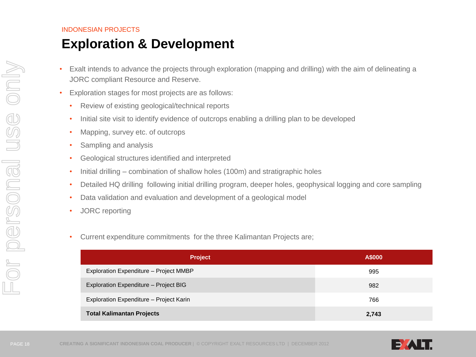## **Exploration & Development**

- Exalt intends to advance the projects through exploration (mapping and drilling) with the aim of delineating a JORC compliant Resource and Reserve.
- Exploration stages for most projects are as follows:
	- Review of existing geological/technical reports
	- Initial site visit to identify evidence of outcrops enabling a drilling plan to be developed
	- Mapping, survey etc. of outcrops
	- Sampling and analysis
	- Geological structures identified and interpreted
	- Initial drilling combination of shallow holes (100m) and stratigraphic holes
	- Detailed HQ drilling following initial drilling program, deeper holes, geophysical logging and core sampling
	- Data validation and evaluation and development of a geological model
	- JORC reporting
	- Current expenditure commitments for the three Kalimantan Projects are;

| <b>Project</b>                          | A\$000 |
|-----------------------------------------|--------|
| Exploration Expenditure - Project MMBP  | 995    |
| Exploration Expenditure - Project BIG   | 982    |
| Exploration Expenditure - Project Karin | 766    |
| <b>Total Kalimantan Projects</b>        | 2,743  |



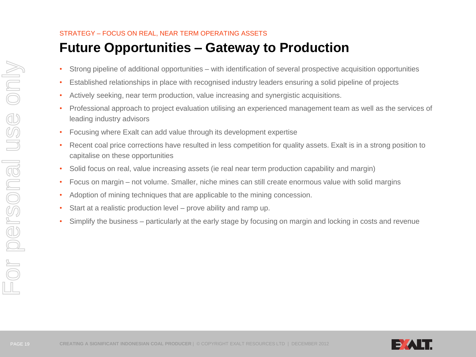### STRATEGY – FOCUS ON REAL, NEAR TERM OPERATING ASSETS

# **Future Opportunities – Gateway to Production**

- Strong pipeline of additional opportunities with identification of several prospective acquisition opportunities
- Established relationships in place with recognised industry leaders ensuring a solid pipeline of projects
- Actively seeking, near term production, value increasing and synergistic acquisitions.
- Professional approach to project evaluation utilising an experienced management team as well as the services of leading industry advisors
- Focusing where Exalt can add value through its development expertise
- Recent coal price corrections have resulted in less competition for quality assets. Exalt is in a strong position to capitalise on these opportunities
- Solid focus on real, value increasing assets (ie real near term production capability and margin)
- Focus on margin not volume. Smaller, niche mines can still create enormous value with solid margins
- Adoption of mining techniques that are applicable to the mining concession.
- Start at a realistic production level prove ability and ramp up.
- Simplify the business particularly at the early stage by focusing on margin and locking in costs and revenue

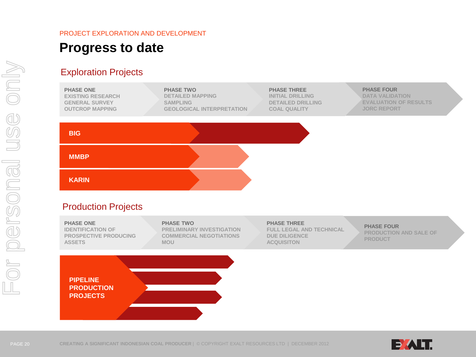## PROJECT EXPLORATION AND DEVELOPMENT **Progress to date**

## Exploration Projects



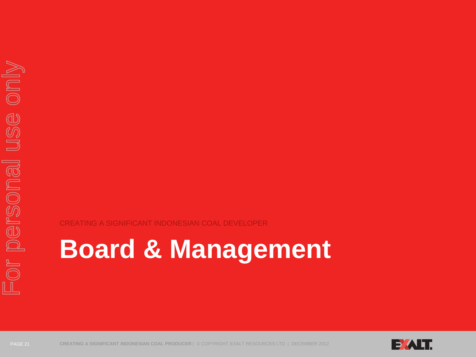CREATING A SIGNIFICANT INDONESIAN COAL DEVELOPER

# **Board & Management**



PAGE 21 **CREATING A SIGNIFICANT INDONESIAN COAL PRODUCER** | © COPYRIGHT EXALT RESOURCES LTD | DECEMBER 2012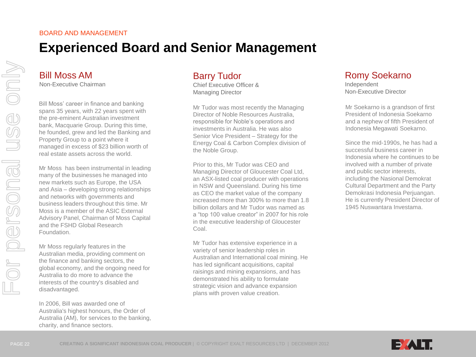#### BOARD AND MANAGEMENT

# **Experienced Board and Senior Management**

### Bill Moss AM Non-Executive Chairman

Bill Moss' career in finance and banking spans 35 years, with 22 years spent with the pre-eminent Australian investment bank, Macquarie Group. During this time, he founded, grew and led the Banking and Property Group to a point where it managed in excess of \$23 billion worth of real estate assets across the world.

Mr Moss has been instrumental in leading many of the businesses he managed into new markets such as Europe, the USA and Asia – developing strong relationships and networks with governments and business leaders throughout this time. Mr Moss is a member of the ASIC External Advisory Panel, Chairman of Moss Capital and the FSHD Global Research Foundation.

Mr Moss regularly features in the Australian media, providing comment on the finance and banking sectors, the global economy, and the ongoing need for Australia to do more to advance the interests of the country's disabled and disadvantaged.

In 2006, Bill was awarded one of Australia's highest honours, the Order of Australia (AM), for services to the banking, charity, and finance sectors.

## Barry Tudor

Chief Executive Officer & Managing Director

Mr Tudor was most recently the Managing Director of Noble Resources Australia, responsible for Noble's operations and investments in Australia. He was also Senior Vice President – Strategy for the Energy Coal & Carbon Complex division of the Noble Group.

Prior to this, Mr Tudor was CEO and Managing Director of Gloucester Coal Ltd, an ASX-listed coal producer with operations in NSW and Queensland. During his time as CEO the market value of the company increased more than 300% to more than 1.8 billion dollars and Mr Tudor was named as a "top 100 value creator" in 2007 for his role in the executive leadership of Gloucester Coal.

Mr Tudor has extensive experience in a variety of senior leadership roles in Australian and International coal mining. He has led significant acquisitions, capital raisings and mining expansions, and has demonstrated his ability to formulate strategic vision and advance expansion plans with proven value creation.

## Romy Soekarno

Independent Non-Executive Director

Mr Soekarno is a grandson of first President of Indonesia Soekarno and a nephew of fifth President of Indonesia Megawati Soekarno.

Since the mid-1990s, he has had a successful business career in Indonesia where he continues to be involved with a number of private and public sector interests, including the Nasional Demokrat Cultural Department and the Party Demokrasi Indonesia Perjuangan. He is currently President Director of 1945 Nuswantara Investama.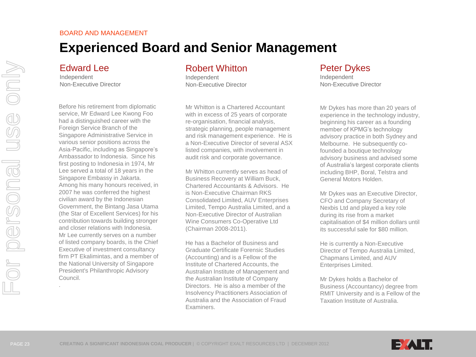.

## BOARD AND MANAGEMENT **Experienced Board and Senior Management**

## Edward Lee

Independent Non-Executive Director

Before his retirement from diplomatic service, Mr Edward Lee Kwong Foo had a distinguished career with the Foreign Service Branch of the Singapore Administrative Service in various senior positions across the Asia-Pacific, including as Singapore's Ambassador to Indonesia. Since his first posting to Indonesia in 1974, Mr Lee served a total of 18 years in the Singapore Embassy in Jakarta. Among his many honours received, in 2007 he was conferred the highest civilian award by the Indonesian Government, the Bintang Jasa Utama (the Star of Excellent Services) for his contribution towards building stronger and closer relations with Indonesia. Mr Lee currently serves on a number of listed company boards, is the Chief Executive of investment consultancy firm PT Ekalimintas, and a member of the National University of Singapore President's Philanthropic Advisory Council.

## Robert Whitton

Independent Non-Executive Director

Mr Whitton is a Chartered Accountant with in excess of 25 years of corporate re-organisation, financial analysis, strategic planning, people management and risk management experience. He is a Non-Executive Director of several ASX listed companies, with involvement in audit risk and corporate governance.

Mr Whitton currently serves as head of Business Recovery at William Buck, Chartered Accountants & Advisors. He is Non-Executive Chairman RKS Consolidated Limited, AUV Enterprises Limited, Tempo Australia Limited, and a Non-Executive Director of Australian Wine Consumers Co-Operative Ltd (Chairman 2008-2011).

He has a Bachelor of Business and Graduate Certificate Forensic Studies (Accounting) and is a Fellow of the Institute of Chartered Accounts, the Australian Institute of Management and the Australian Institute of Company Directors. He is also a member of the Insolvency Practitioners Association of Australia and the Association of Fraud Examiners.

## Peter Dykes

Independent Non-Executive Director

Mr Dykes has more than 20 years of experience in the technology industry, beginning his career as a founding member of KPMG's technology advisory practice in both Sydney and Melbourne. He subsequently cofounded a boutique technology advisory business and advised some of Australia's largest corporate clients including BHP, Boral, Telstra and General Motors Holden.

Mr Dykes was an Executive Director, CFO and Company Secretary of Nexbis Ltd and played a key role during its rise from a market capitalisation of \$4 million dollars until its successful sale for \$80 million.

He is currently a Non-Executive Director of Tempo Australia Limited, Chapmans Limited, and AUV Enterprises Limited.

Mr Dykes holds a Bachelor of Business (Accountancy) degree from RMIT University and is a Fellow of the Taxation Institute of Australia.

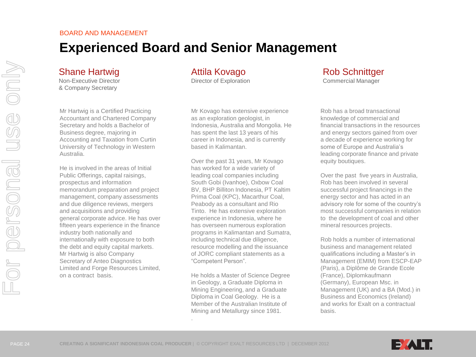## BOARD AND MANAGEMENT **Experienced Board and Senior Management**

## Shane Hartwig

Non-Executive Director & Company Secretary

Mr Hartwig is a Certified Practicing Accountant and Chartered Company Secretary and holds a Bachelor of Business degree, majoring in Accounting and Taxation from Curtin University of Technology in Western Australia.

He is involved in the areas of Initial Public Offerings, capital raisings, prospectus and information memorandum preparation and project management, company assessments and due diligence reviews, mergers and acquisitions and providing general corporate advice. He has over fifteen years experience in the finance industry both nationally and internationally with exposure to both the debt and equity capital markets. Mr Hartwig is also Company Secretary of Anteo Diagnostics Limited and Forge Resources Limited, on a contract basis.

## Attila Kovago

Director of Exploration

Mr Kovago has extensive experience as an exploration geologist, in Indonesia, Australia and Mongolia. He has spent the last 13 years of his career in Indonesia, and is currently based in Kalimantan.

Over the past 31 years, Mr Kovago has worked for a wide variety of leading coal companies including South Gobi (Ivanhoe), Oxbow Coal BV, BHP Billiton Indonesia, PT Kaltim Prima Coal (KPC), Macarthur Coal, Peabody as a consultant and Rio Tinto. He has extensive exploration experience in Indonesia, where he has overseen numerous exploration programs in Kalimantan and Sumatra, including technical due diligence, resource modelling and the issuance of JORC compliant statements as a "Competent Person".

He holds a Master of Science Degree in Geology, a Graduate Diploma in Mining Engineering, and a Graduate Diploma in Coal Geology. He is a Member of the Australian Institute of Mining and Metallurgy since 1981.

## Rob Schnittger

Commercial Manager

Rob has a broad transactional . knowledge of commercial and financial transactions in the resources and energy sectors gained from over a decade of experience working for some of Europe and Australia's leading corporate finance and private equity boutiques.

Over the past five years in Australia, Rob has been involved in several successful project financings in the energy sector and has acted in an advisory role for some of the country's most successful companies in relation to the development of coal and other mineral resources projects.

Rob holds a number of international business and management related qualifications including a Master's in Management (EMIM) from ESCP-EAP (Paris), a Diplôme de Grande Ecole (France), Diplomkaufmann (Germany), European Msc. in Management (UK) and a BA (Mod.) in Business and Economics (Ireland) and works for Exalt on a contractual basis.

.

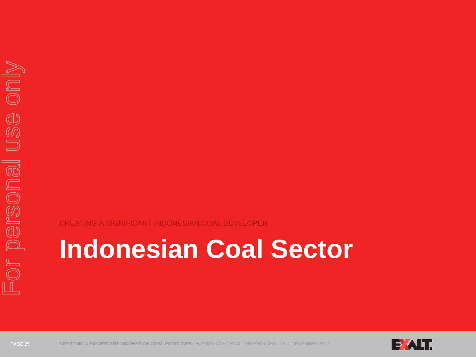CREATING A SIGNIFICANT INDONESIAN COAL DEVELOPER

# **Indonesian Coal Sector**



PAGE 25 **CREATING A SIGNIFICANT INDONESIAN COAL PRODUCER** | © COPYRIGHT EXALT RESOURCES LTD | DECEMBER 2012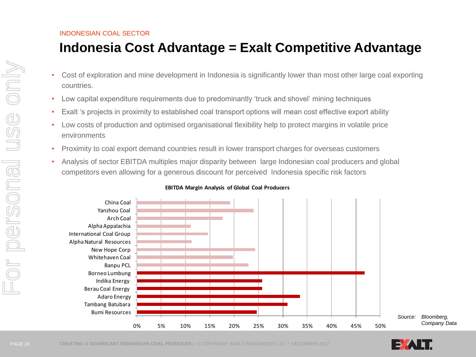# **Indonesia Cost Advantage = Exalt Competitive Advantage**

- Cost of exploration and mine development in Indonesia is significantly lower than most other large coal exporting countries.
- Low capital expenditure requirements due to predominantly 'truck and shovel' mining techniques
- Exalt 's projects in proximity to established coal transport options will mean cost effective export ability
- Low costs of production and optimised organisational flexibility help to protect margins in volatile price environments
- Proximity to coal export demand countries result in lower transport charges for overseas customers
- Analysis of sector EBITDA multiples major disparity between large Indonesian coal producers and global competitors even allowing for a generous discount for perceived Indonesia specific risk factors



#### **EBITDA Margin Analysis of Global Coal Producers**

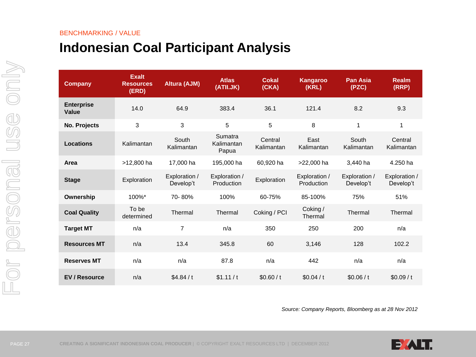#### BENCHMARKING / VALUE

# **Indonesian Coal Participant Analysis**

| <b>Company</b>                    | <b>Exalt</b><br><b>Resources</b><br>(ERD) | <b>Altura (AJM)</b>        | <b>Atlas</b><br>(ATII.JK)      | <b>Cokal</b><br>(CKA) | Kangaroo<br>(KRL)           | <b>Pan Asia</b><br>(PZC)   | <b>Realm</b><br>(RRP)      |
|-----------------------------------|-------------------------------------------|----------------------------|--------------------------------|-----------------------|-----------------------------|----------------------------|----------------------------|
| <b>Enterprise</b><br><b>Value</b> | 14.0                                      | 64.9                       | 383.4                          | 36.1                  | 121.4                       | 8.2                        | 9.3                        |
| No. Projects                      | 3                                         | 3                          | 5                              | 5                     | 8                           | 1                          | 1                          |
| <b>Locations</b>                  | Kalimantan                                | South<br>Kalimantan        | Sumatra<br>Kalimantan<br>Papua | Central<br>Kalimantan | East<br>Kalimantan          | South<br>Kalimantan        | Central<br>Kalimantan      |
| Area                              | >12,800 ha                                | 17,000 ha                  | 195,000 ha                     | 60,920 ha             | >22,000 ha                  | 3,440 ha                   | 4.250 ha                   |
| <b>Stage</b>                      | Exploration                               | Exploration /<br>Develop't | Exploration /<br>Production    | Exploration           | Exploration /<br>Production | Exploration /<br>Develop't | Exploration /<br>Develop't |
| Ownership                         | $100\%$ *                                 | 70-80%                     | 100%                           | 60-75%                | 85-100%                     | 75%                        | 51%                        |
| <b>Coal Quality</b>               | To be<br>determined                       | Thermal                    | Thermal                        | Coking / PCI          | Coking /<br>Thermal         | Thermal                    | Thermal                    |
| <b>Target MT</b>                  | n/a                                       | $\overline{7}$             | n/a                            | 350                   | 250                         | 200                        | n/a                        |
| <b>Resources MT</b>               | n/a                                       | 13.4                       | 345.8                          | 60                    | 3,146                       | 128                        | 102.2                      |
| <b>Reserves MT</b>                | n/a                                       | n/a                        | 87.8                           | n/a                   | 442                         | n/a                        | n/a                        |
| <b>EV / Resource</b>              | n/a                                       | \$4.84/t                   | \$1.11/t                       | \$0.60/t              | \$0.04/t                    | \$0.06/t                   | \$0.09/t                   |

*Source: Company Reports, Bloomberg as at 28 Nov 2012*



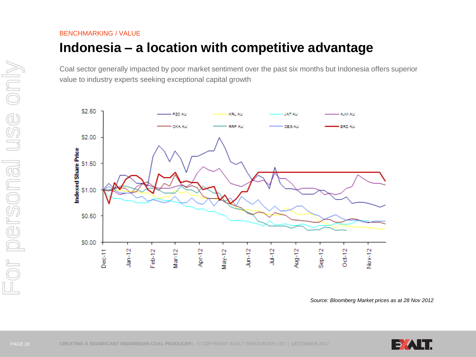BENCHMARKING / VALUE

# **Indonesia – a location with competitive advantage**

Coal sector generally impacted by poor market sentiment over the past six months but Indonesia offers superior value to industry experts seeking exceptional capital growth



*Source: Bloomberg Market prices as at 28 Nov 2012*

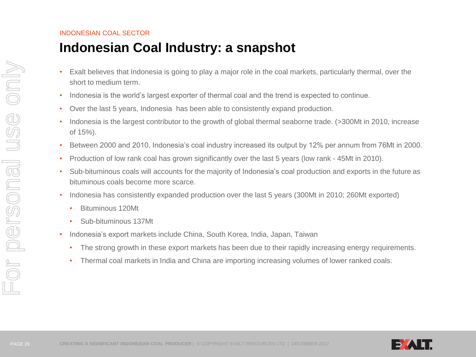# **Indonesian Coal Industry: a snapshot**

- Exalt believes that Indonesia is going to play a major role in the coal markets, particularly thermal, over the short to medium term.
- Indonesia is the world's largest exporter of thermal coal and the trend is expected to continue.
- Over the last 5 years, Indonesia has been able to consistently expand production.
- Indonesia is the largest contributor to the growth of global thermal seaborne trade. (>300Mt in 2010, increase of 15%).
- Between 2000 and 2010, Indonesia's coal industry increased its output by 12% per annum from 76Mt in 2000.
- Production of low rank coal has grown significantly over the last 5 years (low rank 45Mt in 2010).
- Sub-bituminous coals will accounts for the majority of Indonesia's coal production and exports in the future as bituminous coals become more scarce.
- Indonesia has consistently expanded production over the last 5 years (300Mt in 2010; 260Mt exported)
	- Bituminous 120Mt
	- Sub-bituminous 137Mt
- Indonesia's export markets include China, South Korea, India, Japan, Taiwan
	- The strong growth in these export markets has been due to their rapidly increasing energy requirements.
	- Thermal coal markets in India and China are importing increasing volumes of lower ranked coals.

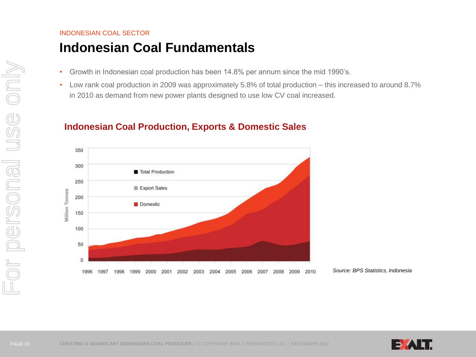## INDONESIAN COAL SECTOR **Indonesian Coal Fundamentals**

- Growth in Indonesian coal production has been 14.8% per annum since the mid 1990's.
- Low rank coal production in 2009 was approximately 5.8% of total production this increased to around 8.7% in 2010 as demand from new power plants designed to use low CV coal increased.



## **Indonesian Coal Production, Exports & Domestic Sales**

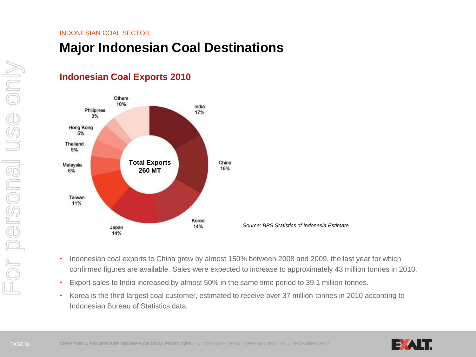**Indonesian Coal Exports 2010**

## **Major Indonesian Coal Destinations**



- Indonesian coal exports to China grew by almost 150% between 2008 and 2009, the last year for which confirmed figures are available. Sales were expected to increase to approximately 43 million tonnes in 2010.
- Export sales to India increased by almost 50% in the same time period to 39.1 million tonnes.
- Korea is the third largest coal customer, estimated to receive over 37 million tonnes in 2010 according to Indonesian Bureau of Statistics data.

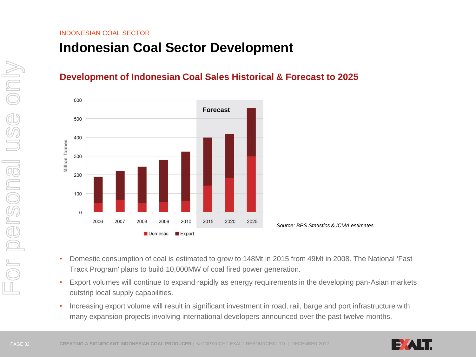## **Indonesian Coal Sector Development**

## **Development of Indonesian Coal Sales Historical & Forecast to 2025**



*Source: BPS Statistics & ICMA estimates*

- Domestic consumption of coal is estimated to grow to 148Mt in 2015 from 49Mt in 2008. The National 'Fast Track Program' plans to build 10,000MW of coal fired power generation.
- Export volumes will continue to expand rapidly as energy requirements in the developing pan-Asian markets outstrip local supply capabilities.
- Increasing export volume will result in significant investment in road, rail, barge and port infrastructure with many expansion projects involving international developers announced over the past twelve months.

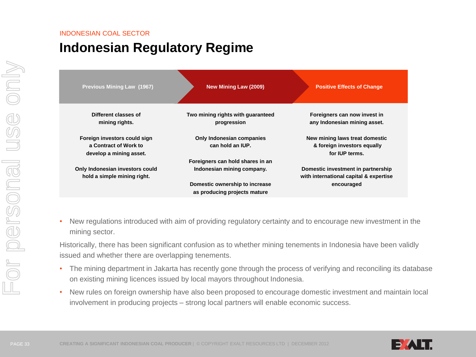# **Indonesian Regulatory Regime**

| <b>Previous Mining Law (1967)</b>                                                | New Mining Law (2009)                                          | <b>Positive Effects of Change</b>                                               |
|----------------------------------------------------------------------------------|----------------------------------------------------------------|---------------------------------------------------------------------------------|
| Different classes of<br>mining rights.                                           | Two mining rights with guaranteed<br>progression               | Foreigners can now invest in<br>any Indonesian mining asset.                    |
| Foreign investors could sign<br>a Contract of Work to<br>develop a mining asset. | Only Indonesian companies<br>can hold an IUP.                  | New mining laws treat domestic<br>& foreign investors equally<br>for IUP terms. |
| Only Indonesian investors could<br>hold a simple mining right.                   | Foreigners can hold shares in an<br>Indonesian mining company. | Domestic investment in partnership<br>with international capital & expertise    |
|                                                                                  | Domestic ownership to increase<br>as producing projects mature | encouraged                                                                      |

• New regulations introduced with aim of providing regulatory certainty and to encourage new investment in the mining sector.

Historically, there has been significant confusion as to whether mining tenements in Indonesia have been validly issued and whether there are overlapping tenements.

- The mining department in Jakarta has recently gone through the process of verifying and reconciling its database on existing mining licences issued by local mayors throughout Indonesia.
- New rules on foreign ownership have also been proposed to encourage domestic investment and maintain local involvement in producing projects – strong local partners will enable economic success.

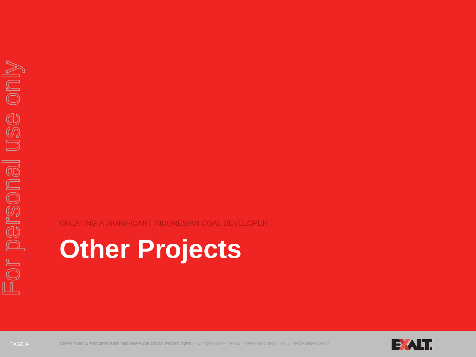### CREATING A SIGNIFICANT INDONESIAN COAL DEVELOPER

# **Other Projects**



PAGE 34 **CREATING A SIGNIFICANT INDONESIAN COAL PRODUCER** | © COPYRIGHT EXALT RESOURCES LTD | DECEMBER 2012